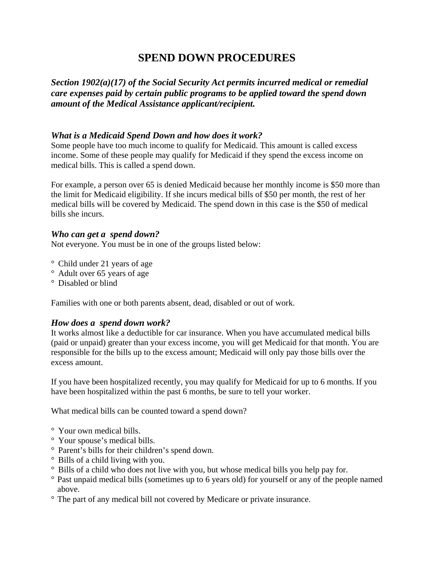# **SPEND DOWN PROCEDURES**

*Section 1902(a)(17) of the Social Security Act permits incurred medical or remedial care expenses paid by certain public programs to be applied toward the spend down amount of the Medical Assistance applicant/recipient.* 

# *What is a Medicaid Spend Down and how does it work?*

Some people have too much income to qualify for Medicaid. This amount is called excess income. Some of these people may qualify for Medicaid if they spend the excess income on medical bills. This is called a spend down.

For example, a person over 65 is denied Medicaid because her monthly income is \$50 more than the limit for Medicaid eligibility. If she incurs medical bills of \$50 per month, the rest of her medical bills will be covered by Medicaid. The spend down in this case is the \$50 of medical bills she incurs.

## *Who can get a spend down?*

Not everyone. You must be in one of the groups listed below:

- ° Child under 21 years of age
- ° Adult over 65 years of age
- ° Disabled or blind

Families with one or both parents absent, dead, disabled or out of work.

#### *How does a spend down work?*

It works almost like a deductible for car insurance. When you have accumulated medical bills (paid or unpaid) greater than your excess income, you will get Medicaid for that month. You are responsible for the bills up to the excess amount; Medicaid will only pay those bills over the excess amount.

If you have been hospitalized recently, you may qualify for Medicaid for up to 6 months. If you have been hospitalized within the past 6 months, be sure to tell your worker.

What medical bills can be counted toward a spend down?

- ° Your own medical bills.
- ° Your spouse's medical bills.
- ° Parent's bills for their children's spend down.
- ° Bills of a child living with you.
- ° Bills of a child who does not live with you, but whose medical bills you help pay for.
- ° Past unpaid medical bills (sometimes up to 6 years old) for yourself or any of the people named above.
- ° The part of any medical bill not covered by Medicare or private insurance.